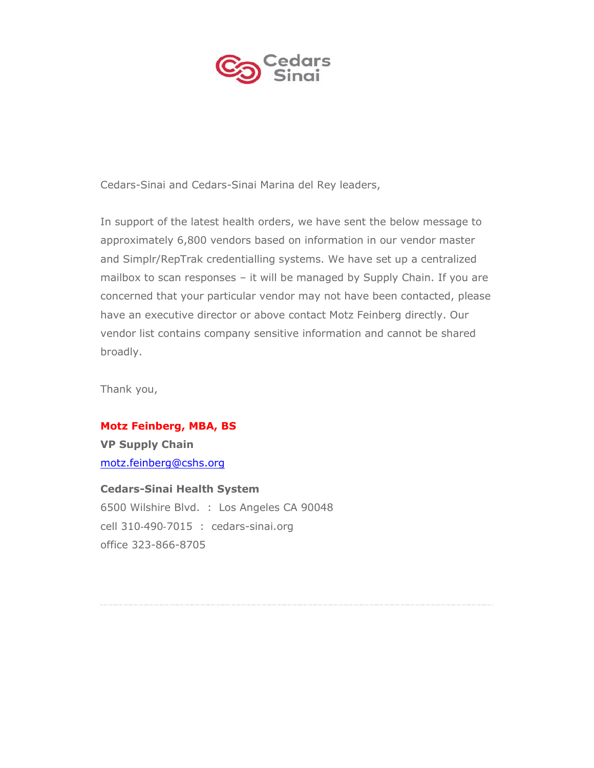

Cedars-Sinai and Cedars-Sinai Marina del Rey leaders,

In support of the latest health orders, we have sent the below message to approximately 6,800 vendors based on information in our vendor master and Simplr/RepTrak credentialling systems. We have set up a centralized mailbox to scan responses – it will be managed by Supply Chain. If you are concerned that your particular vendor may not have been contacted, please have an executive director or above contact Motz Feinberg directly. Our vendor list contains company sensitive information and cannot be shared broadly.

Thank you,

## **Motz Feinberg, MBA, BS**

**VP Supply Chain** [motz.feinberg@cshs.org](mailto:motz.feinberg@cshs.org)

## **Cedars-Sinai Health System**

6500 Wilshire Blvd. : Los Angeles CA 90048 cell 310‐490‐7015 : cedars-sinai.org office 323-866-8705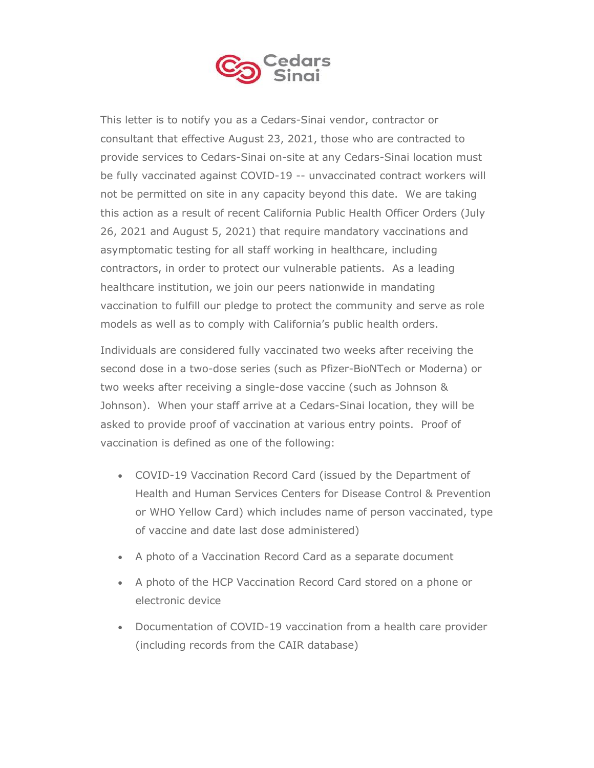

This letter is to notify you as a Cedars-Sinai vendor, contractor or consultant that effective August 23, 2021, those who are contracted to provide services to Cedars-Sinai on-site at any Cedars-Sinai location must be fully vaccinated against COVID-19 -- unvaccinated contract workers will not be permitted on site in any capacity beyond this date. We are taking this action as a result of recent California Public Health Officer Orders (July 26, 2021 and August 5, 2021) that require mandatory vaccinations and asymptomatic testing for all staff working in healthcare, including contractors, in order to protect our vulnerable patients. As a leading healthcare institution, we join our peers nationwide in mandating vaccination to fulfill our pledge to protect the community and serve as role models as well as to comply with California's public health orders.

Individuals are considered fully vaccinated two weeks after receiving the second dose in a two-dose series (such as Pfizer-BioNTech or Moderna) or two weeks after receiving a single-dose vaccine (such as Johnson & Johnson). When your staff arrive at a Cedars-Sinai location, they will be asked to provide proof of vaccination at various entry points. Proof of vaccination is defined as one of the following:

- COVID-19 Vaccination Record Card (issued by the Department of Health and Human Services Centers for Disease Control & Prevention or WHO Yellow Card) which includes name of person vaccinated, type of vaccine and date last dose administered)
- A photo of a Vaccination Record Card as a separate document
- A photo of the HCP Vaccination Record Card stored on a phone or electronic device
- Documentation of COVID-19 vaccination from a health care provider (including records from the CAIR database)